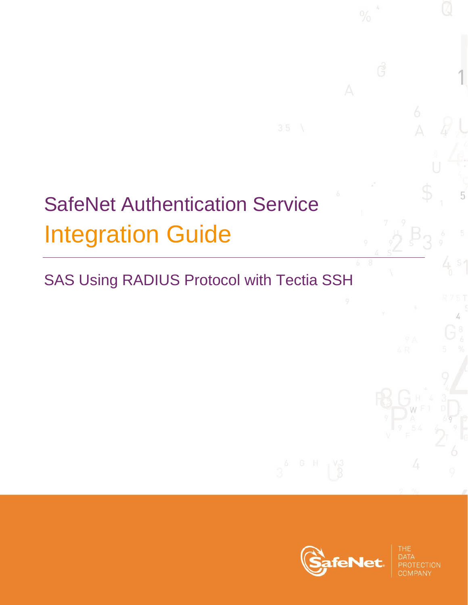# SafeNet Authentication Service Integration Guide

# SAS Using RADIUS Protocol with Tectia SSH



A

**1**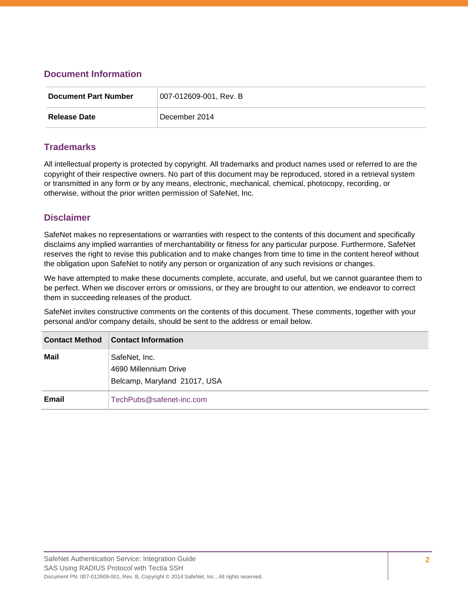#### **Document Information**

| <b>Document Part Number</b> | 007-012609-001, Rev. B |
|-----------------------------|------------------------|
| <b>Release Date</b>         | December 2014          |

#### **Trademarks**

All intellectual property is protected by copyright. All trademarks and product names used or referred to are the copyright of their respective owners. No part of this document may be reproduced, stored in a retrieval system or transmitted in any form or by any means, electronic, mechanical, chemical, photocopy, recording, or otherwise, without the prior written permission of SafeNet, Inc.

#### **Disclaimer**

SafeNet makes no representations or warranties with respect to the contents of this document and specifically disclaims any implied warranties of merchantability or fitness for any particular purpose. Furthermore, SafeNet reserves the right to revise this publication and to make changes from time to time in the content hereof without the obligation upon SafeNet to notify any person or organization of any such revisions or changes.

We have attempted to make these documents complete, accurate, and useful, but we cannot guarantee them to be perfect. When we discover errors or omissions, or they are brought to our attention, we endeavor to correct them in succeeding releases of the product.

SafeNet invites constructive comments on the contents of this document. These comments, together with your personal and/or company details, should be sent to the address or email below.

| <b>Contact Method</b> | <b>Contact Information</b>                                             |
|-----------------------|------------------------------------------------------------------------|
| Mail                  | SafeNet, Inc.<br>4690 Millennium Drive<br>Belcamp, Maryland 21017, USA |
| Email                 | TechPubs@safenet-inc.com                                               |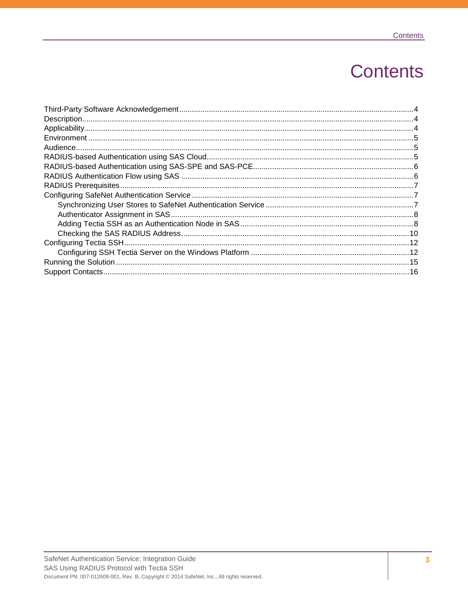# **Contents**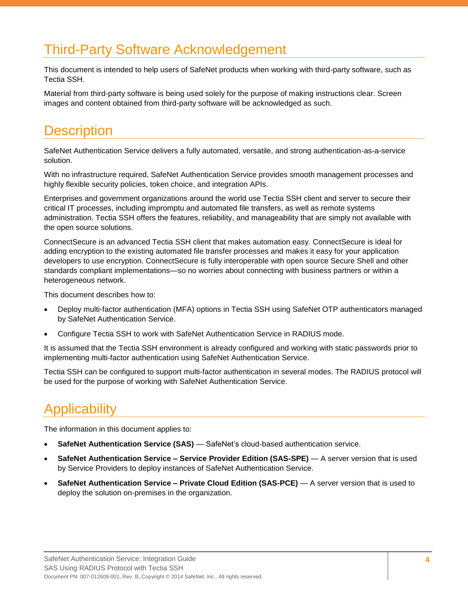### <span id="page-3-0"></span>Third-Party Software Acknowledgement

This document is intended to help users of SafeNet products when working with third-party software, such as Tectia SSH.

Material from third-party software is being used solely for the purpose of making instructions clear. Screen images and content obtained from third-party software will be acknowledged as such.

#### <span id="page-3-1"></span>**Description**

SafeNet Authentication Service delivers a fully automated, versatile, and strong authentication-as-a-service solution.

With no infrastructure required, SafeNet Authentication Service provides smooth management processes and highly flexible security policies, token choice, and integration APIs.

Enterprises and government organizations around the world use Tectia SSH client and server to secure their critical IT processes, including impromptu and automated file transfers, as well as remote systems administration. Tectia SSH offers the features, reliability, and manageability that are simply not available with the open source solutions.

ConnectSecure is an advanced Tectia SSH client that makes automation easy. ConnectSecure is ideal for adding encryption to the existing automated file transfer processes and makes it easy for your application developers to use encryption. ConnectSecure is fully interoperable with open source Secure Shell and other standards compliant implementations—so no worries about connecting with business partners or within a heterogeneous network.

This document describes how to:

- Deploy multi-factor authentication (MFA) options in Tectia SSH using SafeNet OTP authenticators managed by SafeNet Authentication Service.
- Configure Tectia SSH to work with SafeNet Authentication Service in RADIUS mode.

It is assumed that the Tectia SSH environment is already configured and working with static passwords prior to implementing multi-factor authentication using SafeNet Authentication Service.

Tectia SSH can be configured to support multi-factor authentication in several modes. The RADIUS protocol will be used for the purpose of working with SafeNet Authentication Service.

## <span id="page-3-2"></span>**Applicability**

The information in this document applies to:

- **SafeNet Authentication Service (SAS)** SafeNet's cloud-based authentication service.
- **SafeNet Authentication Service – Service Provider Edition (SAS-SPE)** A server version that is used by Service Providers to deploy instances of SafeNet Authentication Service.
- **SafeNet Authentication Service – Private Cloud Edition (SAS-PCE)** A server version that is used to deploy the solution on-premises in the organization.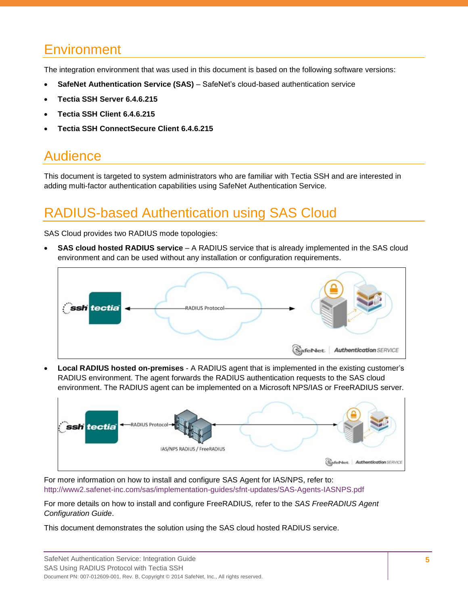### <span id="page-4-0"></span>**Environment**

The integration environment that was used in this document is based on the following software versions:

- **SafeNet Authentication Service (SAS)**  SafeNet's cloud-based authentication service
- **Tectia SSH Server 6.4.6.215**
- **Tectia SSH Client 6.4.6.215**
- **Tectia SSH ConnectSecure Client 6.4.6.215**

### <span id="page-4-1"></span>Audience

This document is targeted to system administrators who are familiar with Tectia SSH and are interested in adding multi-factor authentication capabilities using SafeNet Authentication Service.

# <span id="page-4-2"></span>RADIUS-based Authentication using SAS Cloud

SAS Cloud provides two RADIUS mode topologies:

 **SAS cloud hosted RADIUS service** – A RADIUS service that is already implemented in the SAS cloud environment and can be used without any installation or configuration requirements.



 **Local RADIUS hosted on-premises** - A RADIUS agent that is implemented in the existing customer's RADIUS environment. The agent forwards the RADIUS authentication requests to the SAS cloud environment. The RADIUS agent can be implemented on a Microsoft NPS/IAS or FreeRADIUS server.



SafeNet: Authentication SERVICE

For more information on how to install and configure SAS Agent for IAS/NPS, refer to: <http://www2.safenet-inc.com/sas/implementation-guides/sfnt-updates/SAS-Agents-IASNPS.pdf>

For more details on how to install and configure FreeRADIUS*,* refer to the *SAS FreeRADIUS Agent Configuration Guide*.

This document demonstrates the solution using the SAS cloud hosted RADIUS service.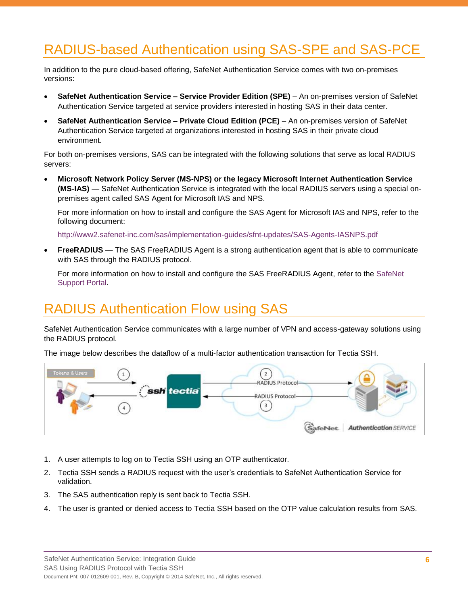# <span id="page-5-0"></span>RADIUS-based Authentication using SAS-SPE and SAS-PCE

In addition to the pure cloud-based offering, SafeNet Authentication Service comes with two on-premises versions:

- **SafeNet Authentication Service – Service Provider Edition (SPE)**  An on-premises version of SafeNet Authentication Service targeted at service providers interested in hosting SAS in their data center.
- **SafeNet Authentication Service Private Cloud Edition (PCE)** An on-premises version of SafeNet Authentication Service targeted at organizations interested in hosting SAS in their private cloud environment.

For both on-premises versions, SAS can be integrated with the following solutions that serve as local RADIUS servers:

 **Microsoft Network Policy Server (MS-NPS) or the legacy Microsoft Internet Authentication Service (MS-IAS)** — SafeNet Authentication Service is integrated with the local RADIUS servers using a special onpremises agent called SAS Agent for Microsoft IAS and NPS.

For more information on how to install and configure the SAS Agent for Microsoft IAS and NPS, refer to the following document:

<http://www2.safenet-inc.com/sas/implementation-guides/sfnt-updates/SAS-Agents-IASNPS.pdf>

 **FreeRADIUS** — The SAS FreeRADIUS Agent is a strong authentication agent that is able to communicate with SAS through the RADIUS protocol.

For more information on how to install and configure the SAS FreeRADIUS Agent, refer to the [SafeNet](https://serviceportal.safenet-inc.com/)  [Support Portal.](https://serviceportal.safenet-inc.com/)

### <span id="page-5-1"></span>RADIUS Authentication Flow using SAS

SafeNet Authentication Service communicates with a large number of VPN and access-gateway solutions using the RADIUS protocol.

The image below describes the dataflow of a multi-factor authentication transaction for Tectia SSH.



- 1. A user attempts to log on to Tectia SSH using an OTP authenticator.
- 2. Tectia SSH sends a RADIUS request with the user's credentials to SafeNet Authentication Service for validation.
- 3. The SAS authentication reply is sent back to Tectia SSH.
- 4. The user is granted or denied access to Tectia SSH based on the OTP value calculation results from SAS.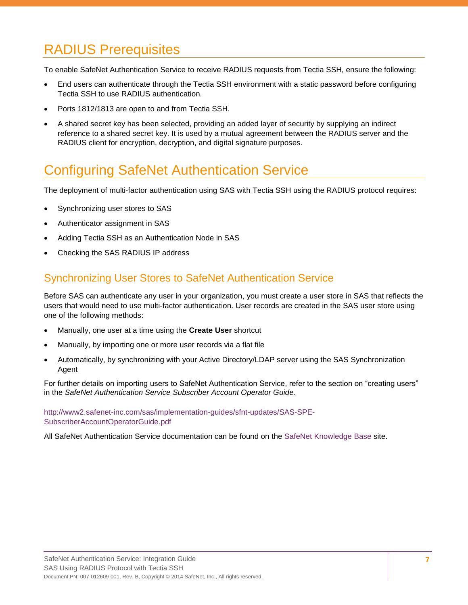# <span id="page-6-0"></span>RADIUS Prerequisites

To enable SafeNet Authentication Service to receive RADIUS requests from Tectia SSH, ensure the following:

- End users can authenticate through the Tectia SSH environment with a static password before configuring Tectia SSH to use RADIUS authentication.
- Ports 1812/1813 are open to and from Tectia SSH.
- A shared secret key has been selected, providing an added layer of security by supplying an indirect reference to a shared secret key. It is used by a mutual agreement between the RADIUS server and the RADIUS client for encryption, decryption, and digital signature purposes.

### <span id="page-6-1"></span>Configuring SafeNet Authentication Service

The deployment of multi-factor authentication using SAS with Tectia SSH using the RADIUS protocol requires:

- Synchronizing user stores to SAS
- Authenticator assignment in SAS
- Adding Tectia SSH as an Authentication Node in SAS
- Checking the SAS RADIUS IP address

#### <span id="page-6-2"></span>Synchronizing User Stores to SafeNet Authentication Service

Before SAS can authenticate any user in your organization, you must create a user store in SAS that reflects the users that would need to use multi-factor authentication. User records are created in the SAS user store using one of the following methods:

- Manually, one user at a time using the **Create User** shortcut
- Manually, by importing one or more user records via a flat file
- Automatically, by synchronizing with your Active Directory/LDAP server using the SAS Synchronization Agent

For further details on importing users to SafeNet Authentication Service, refer to the section on "creating users" in the *SafeNet Authentication Service Subscriber Account Operator Guide*.

[http://www2.safenet-inc.com/sas/implementation-guides/sfnt-updates/SAS-SPE-](http://www2.safenet-inc.com/sas/implementation-guides/sfnt-updates/SAS-SPE-SubscriberAccountOperatorGuide.pdf)[SubscriberAccountOperatorGuide.pdf](http://www2.safenet-inc.com/sas/implementation-guides/sfnt-updates/SAS-SPE-SubscriberAccountOperatorGuide.pdf)

All SafeNet Authentication Service documentation can be found on the [SafeNet Knowledge Base](http://www2.safenet-inc.com/sas/implementation-guides.html) site.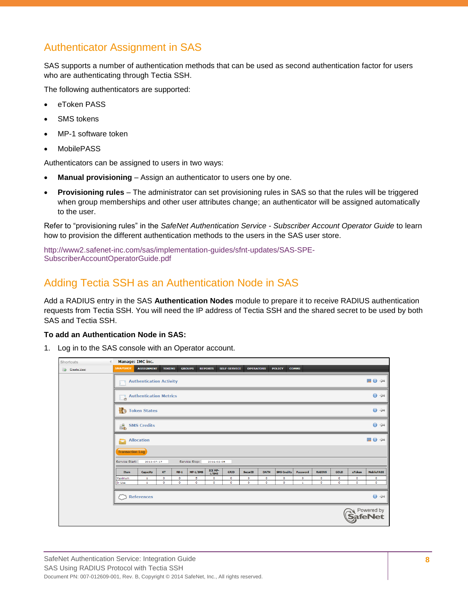#### <span id="page-7-0"></span>Authenticator Assignment in SAS

SAS supports a number of authentication methods that can be used as second authentication factor for users who are authenticating through Tectia SSH.

The following authenticators are supported:

- eToken PASS
- SMS tokens
- MP-1 software token
- MobilePASS

Authenticators can be assigned to users in two ways:

- **Manual provisioning** Assign an authenticator to users one by one.
- **Provisioning rules** The administrator can set provisioning rules in SAS so that the rules will be triggered when group memberships and other user attributes change; an authenticator will be assigned automatically to the user.

Refer to "provisioning rules" in the *SafeNet Authentication Service - Subscriber Account Operator Guide* to learn how to provision the different authentication methods to the users in the SAS user store.

[http://www2.safenet-inc.com/sas/implementation-guides/sfnt-updates/SAS-SPE-](http://www2.safenet-inc.com/sas/implementation-guides/sfnt-updates/SAS-SPE-SubscriberAccountOperatorGuide.pdf)[SubscriberAccountOperatorGuide.pdf](http://www2.safenet-inc.com/sas/implementation-guides/sfnt-updates/SAS-SPE-SubscriberAccountOperatorGuide.pdf)

#### <span id="page-7-1"></span>Adding Tectia SSH as an Authentication Node in SAS

Add a RADIUS entry in the SAS **Authentication Nodes** module to prepare it to receive RADIUS authentication requests from Tectia SSH. You will need the IP address of Tectia SSH and the shared secret to be used by both SAS and Tectia SSH.

#### **To add an Authentication Node in SAS:**

1. Log in to the SAS console with an Operator account.

| Shortcuts<br>$\blacktriangleleft$ | Manage: IMC inc.       |                                |               |           |               |                         |                     |                  |           |                    |              |               |              |           |                                       |
|-----------------------------------|------------------------|--------------------------------|---------------|-----------|---------------|-------------------------|---------------------|------------------|-----------|--------------------|--------------|---------------|--------------|-----------|---------------------------------------|
| O Create User                     | <b>SNAPSHOT</b>        | <b>ASSIGNMENT</b>              | <b>TOKENS</b> |           | <b>GROUPS</b> | <b>REPORTS</b>          | <b>SELF-SERVICE</b> | <b>OPERATORS</b> |           | <b>POLICY</b>      | <b>COMMS</b> |               |              |           |                                       |
|                                   |                        | <b>Authentication Activity</b> |               |           |               |                         |                     |                  |           |                    |              |               |              |           | Ⅲ 0 ÷                                 |
| <b>Authentication Metrics</b>     |                        |                                |               |           |               |                         |                     |                  |           |                    |              | $\Theta$ -PH  |              |           |                                       |
|                                   | Token States           |                                |               |           |               |                         |                     |                  |           |                    |              |               | $\Theta$ -DH |           |                                       |
|                                   | <u>்.</u>              | <b>SMS Credits</b>             |               |           |               |                         |                     |                  |           |                    |              |               |              |           | $\Theta$ -PH                          |
|                                   | ۰                      | <b>Allocation</b>              |               |           |               |                         |                     |                  |           |                    |              |               |              |           | ⊞ +                                   |
|                                   | <b>Transaction Log</b> |                                |               |           |               |                         |                     |                  |           |                    |              |               |              |           |                                       |
|                                   | Service Start:         | 2013-07-17                     |               |           | Service Stop: | 2016-02-05              |                     |                  |           |                    |              |               |              |           |                                       |
|                                   | Item                   | Capacity                       | KT            | $RB-1$    | MP-1/SMS      | <b>ICE MP-</b><br>1/SMS | GRID                | <b>SecurID</b>   | OATH      | <b>SMS Credits</b> | Password     | <b>RADIUS</b> | GOLD         | eToken    | MobilePASS                            |
|                                   | Maximum                | $\mathbf{1}$                   | $\circ$       | $\bullet$ | 5             | $\bullet$               | $\bullet$           | $\circ$          | $\bullet$ | $\bullet$          | $\bullet$    | $\bullet$     | $\circ$      | $\bullet$ | $\bullet$                             |
|                                   | In Use                 | $\mathbf{1}$                   | $\circ$       | $\circ$   | $\circ$       | $\circ$                 | $\circ$             | $\circ$          | $\circ$   | ۰                  | $\mathbf{1}$ | $\circ$       | $\circ$      | $\circ$   | $\bullet$                             |
|                                   |                        | References                     |               |           |               |                         |                     |                  |           |                    |              |               |              |           | $\Theta$ -PH                          |
|                                   |                        |                                |               |           |               |                         |                     |                  |           |                    |              |               |              |           | <b>N</b> Powered by<br><b>SafeNet</b> |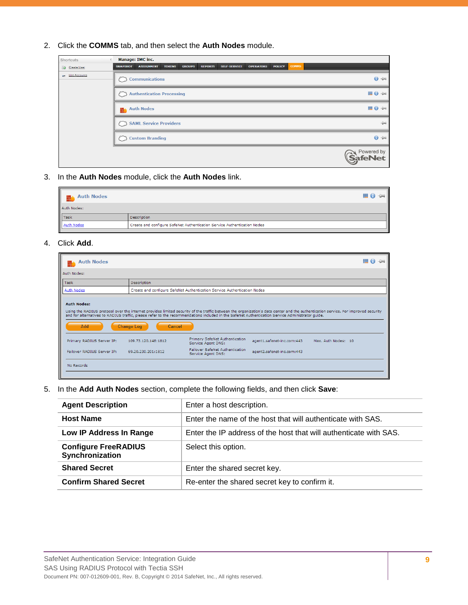2. Click the **COMMS** tab, and then select the **Auth Nodes** module.

| Shortcuts                     | Manage: IMC inc. |                                  |               |               |                |                     |                  |               |              |                                       |
|-------------------------------|------------------|----------------------------------|---------------|---------------|----------------|---------------------|------------------|---------------|--------------|---------------------------------------|
| Create User                   | <b>SNAPSHOT</b>  | <b>ASSIGNMENT</b>                | <b>TOKENS</b> | <b>GROUPS</b> | <b>REPORTS</b> | <b>SELF-SERVICE</b> | <b>OPERATORS</b> | <b>POLICY</b> | <b>COMMS</b> |                                       |
| <b>Exercise List Accounts</b> |                  | <b>Communications</b>            |               |               |                |                     |                  |               |              | $0 + 4$                               |
|                               |                  | <b>Authentication Processing</b> |               |               |                |                     |                  |               |              | Ⅲ 0 ÷                                 |
|                               |                  | <b>Auth Nodes</b>                |               |               |                |                     |                  |               |              | Ⅲ 0 ÷                                 |
|                               |                  | SAML Service Providers           |               |               |                |                     |                  |               |              | $\frac{1}{2}$                         |
|                               |                  | <b>Custom Branding</b>           |               |               |                |                     |                  |               |              | $\Theta$ -Di                          |
|                               |                  |                                  |               |               |                |                     |                  |               |              | <b>N</b> Powered by<br><b>SafeNet</b> |

3. In the **Auth Nodes** module, click the **Auth Nodes** link.

| $\mathbb{H}$ 0 $\rightarrow$                                             |
|--------------------------------------------------------------------------|
|                                                                          |
| Description                                                              |
| Create and configure SafeNet Authentication Service Authentication Nodes |
|                                                                          |

#### 4. Click **Add**.

| <b>Auth Nodes</b>                                                                                                                                                                                                                                                                                                                                                 |                             |                                                                          |                            |                     | = |  |  |  |  |  |
|-------------------------------------------------------------------------------------------------------------------------------------------------------------------------------------------------------------------------------------------------------------------------------------------------------------------------------------------------------------------|-----------------------------|--------------------------------------------------------------------------|----------------------------|---------------------|---|--|--|--|--|--|
| Auth Nodes:                                                                                                                                                                                                                                                                                                                                                       |                             |                                                                          |                            |                     |   |  |  |  |  |  |
| Task<br>Description                                                                                                                                                                                                                                                                                                                                               |                             |                                                                          |                            |                     |   |  |  |  |  |  |
| <b>Auth Nodes</b>                                                                                                                                                                                                                                                                                                                                                 |                             | Create and configure SafeNet Authentication Service Authentication Nodes |                            |                     |   |  |  |  |  |  |
| <b>Auth Nodes:</b><br>Using the RADIUS protocol over the internet provides limited security of the traffic between the organization's data center and the authentication service. For improved security<br>and for alternatives to RADIUS traffic, please refer to the recommendations included in the SafeNet Authentication Service Administrator quide.<br>Add | <b>Change Log</b><br>Cancel |                                                                          |                            |                     |   |  |  |  |  |  |
| Primary RADIUS Server IP:                                                                                                                                                                                                                                                                                                                                         | 109.73.120.148:1812         | Primary SafeNet Authentication<br>Service Agent DNS:                     | agent1.safenet-inc.com:443 | Max. Auth Nodes: 10 |   |  |  |  |  |  |
| Failover RADIUS Server IP:                                                                                                                                                                                                                                                                                                                                        | 69.20.230.201:1812          | <b>Failover SafeNet Authentication</b><br>Service Agent DNS:             | agent2.safenet-inc.com:443 |                     |   |  |  |  |  |  |
| No Records                                                                                                                                                                                                                                                                                                                                                        |                             |                                                                          |                            |                     |   |  |  |  |  |  |

5. In the **Add Auth Nodes** section, complete the following fields, and then click **Save**:

| <b>Agent Description</b>                       | Enter a host description.                                         |
|------------------------------------------------|-------------------------------------------------------------------|
| <b>Host Name</b>                               | Enter the name of the host that will authenticate with SAS.       |
| Low IP Address In Range                        | Enter the IP address of the host that will authenticate with SAS. |
| <b>Configure FreeRADIUS</b><br>Synchronization | Select this option.                                               |
| <b>Shared Secret</b>                           | Enter the shared secret key.                                      |
| <b>Confirm Shared Secret</b>                   | Re-enter the shared secret key to confirm it.                     |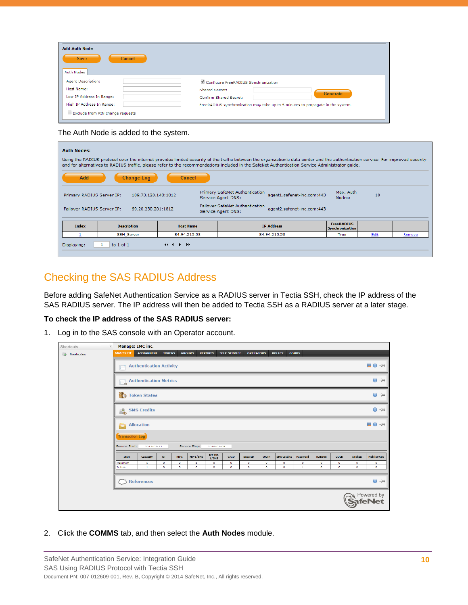| <b>Add Auth Node</b><br><b>Save</b><br>Cancel<br>Auth Nodes |                                                                                 |
|-------------------------------------------------------------|---------------------------------------------------------------------------------|
| Agent Description:                                          | Configure FreeRADIUS Synchronization                                            |
| Host Name:                                                  | Shared Secret:                                                                  |
| Low IP Address In Range:                                    | <b>Generate</b>                                                                 |
| High IP Address In Range:                                   | Confirm Shared Secret:                                                          |
| Exclude from PIN change requests                            | FreeRADIUS synchronization may take up to 5 minutes to propagate in the system. |

The Auth Node is added to the system.

| <b>Auth Nodes:</b>                                                                                                                                                               | Using the RADIUS protocol over the internet provides limited security of the traffic between the organization's data center and the authentication service. For improved security<br>and for alternatives to RADIUS traffic, please refer to the recommendations included in the SafeNet Authentication Service Administrator guide. |                    |                                                                                                                  |                                             |      |        |  |  |  |  |  |  |
|----------------------------------------------------------------------------------------------------------------------------------------------------------------------------------|--------------------------------------------------------------------------------------------------------------------------------------------------------------------------------------------------------------------------------------------------------------------------------------------------------------------------------------|--------------------|------------------------------------------------------------------------------------------------------------------|---------------------------------------------|------|--------|--|--|--|--|--|--|
| Add<br><b>Change Log</b><br><b>Cancel</b><br>Primary SafeNet Authentication<br>Max. Auth<br>agent1.safenet-inc.com:443<br>Primary RADIUS Server IP:<br>109.73.120.148:1812<br>10 |                                                                                                                                                                                                                                                                                                                                      |                    |                                                                                                                  |                                             |      |        |  |  |  |  |  |  |
| Failover RADIUS Server IP:                                                                                                                                                       | 69.20.230.201:1812                                                                                                                                                                                                                                                                                                                   |                    | Service Agent DNS:<br><b>Failover SafeNet Authentication</b><br>agent2.safenet-inc.com:443<br>Service Agent DNS: | Nodes:                                      |      |        |  |  |  |  |  |  |
| <b>Index</b>                                                                                                                                                                     | <b>Description</b>                                                                                                                                                                                                                                                                                                                   | <b>Host Name</b>   | <b>IP Address</b>                                                                                                | <b>FreeRADIUS</b><br><b>Synchronization</b> |      |        |  |  |  |  |  |  |
|                                                                                                                                                                                  | SSH_Server                                                                                                                                                                                                                                                                                                                           | 84.94.215.58       | 84.94.215.58                                                                                                     | True                                        | Edit | Remove |  |  |  |  |  |  |
| Displaying:                                                                                                                                                                      | to $1$ of $1$                                                                                                                                                                                                                                                                                                                        | $44.4 \rightarrow$ |                                                                                                                  |                                             |      |        |  |  |  |  |  |  |

#### <span id="page-9-0"></span>Checking the SAS RADIUS Address

Before adding SafeNet Authentication Service as a RADIUS server in Tectia SSH, check the IP address of the SAS RADIUS server. The IP address will then be added to Tectia SSH as a RADIUS server at a later stage.

#### **To check the IP address of the SAS RADIUS server:**

1. Log in to the SAS console with an Operator account.

| Shortcuts   | Manage: IMC inc.       |                                |               |               |               |                  |                     |                  |           |                    |              |               |             |           |                                |
|-------------|------------------------|--------------------------------|---------------|---------------|---------------|------------------|---------------------|------------------|-----------|--------------------|--------------|---------------|-------------|-----------|--------------------------------|
| Create User | <b>SNAPSHOT</b>        | <b>ASSIGNMENT</b>              | <b>TOKENS</b> | <b>GROUPS</b> |               | <b>REPORTS</b>   | <b>SELF-SERVICE</b> | <b>OPERATORS</b> |           | <b>POLICY</b>      | <b>COMMS</b> |               |             |           |                                |
|             |                        | <b>Authentication Activity</b> |               |               |               |                  |                     |                  |           |                    |              |               |             |           | Ⅲ 0 ÷                          |
|             |                        | <b>Authentication Metrics</b>  |               |               |               |                  |                     |                  |           |                    |              |               |             |           | $\mathbf{O}$ -DH               |
|             |                        | Token States                   |               |               |               |                  |                     |                  |           |                    |              |               |             |           | $0 +$                          |
|             | e.                     | <b>SMS Credits</b>             |               |               |               |                  |                     |                  |           |                    |              |               |             |           | $0 +$                          |
|             | <b>Allocation</b>      |                                |               |               |               |                  |                     |                  |           |                    |              |               |             |           | Ⅲ 0 ÷                          |
|             | <b>Transaction Log</b> |                                |               |               |               |                  |                     |                  |           |                    |              |               |             |           |                                |
|             | Service Start:         | 2013-07-17                     |               |               | Service Stop: | 2016-02-05       |                     |                  |           |                    |              |               |             |           |                                |
|             | <b>Item</b>            | Capacity                       | KT            | $RB-1$        | $MP-1/SMS$    | ICE MP-<br>1/SMS | GRID                | <b>SecurID</b>   | OATH      | <b>SMS Credits</b> | Password     | <b>RADIUS</b> | <b>GOLD</b> | eToken    | MobilePASS                     |
|             | Maximum                | $\mathbf{1}$                   | $\circ$       | $\circ$       | 5             | $\circ$          | $\bullet$           | $\bullet$        | $\circ$   | $\bullet$          | $\bullet$    | $\bullet$     | $\circ$     | $\circ$   | $\circ$                        |
|             | In Use                 | $\mathbf{1}$                   | $\bullet$     | $\bullet$     | $\bullet$     | $\circ$          | ۰                   | $\bullet$        | $\bullet$ | ۰                  | $\mathbf{1}$ | $\bullet$     | ۰           | $\bullet$ | $\bullet$                      |
|             |                        | <b>References</b>              |               |               |               |                  |                     |                  |           |                    |              |               |             |           | $\Theta$ -PH                   |
|             |                        |                                |               |               |               |                  |                     |                  |           |                    |              |               |             |           | N Powered by<br><b>SafeNet</b> |

2. Click the **COMMS** tab, and then select the **Auth Nodes** module.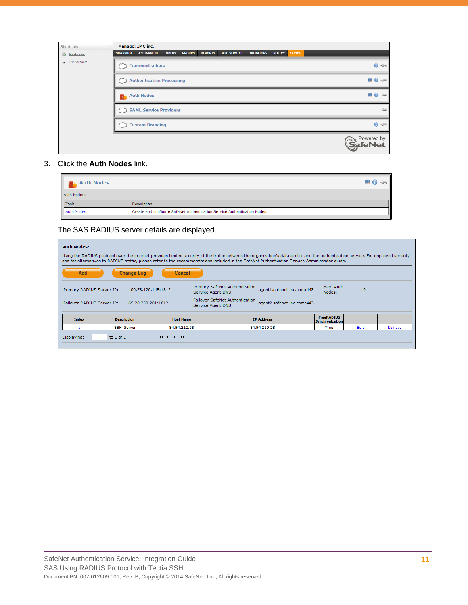| Shortcuts              |                          | <b>Manage: IMC inc.</b>          |               |               |                |                     |                  |               |              |                              |
|------------------------|--------------------------|----------------------------------|---------------|---------------|----------------|---------------------|------------------|---------------|--------------|------------------------------|
| $\circ$<br>Create User | <b>SNAPSHOT</b>          | <b>ASSIGNMENT</b>                | <b>TOKENS</b> | <b>GROUPS</b> | <b>REPORTS</b> | <b>SELF-SERVICE</b> | <b>OPERATORS</b> | <b>POLICY</b> | <b>COMMS</b> |                              |
| am List Accounts       |                          | <b>Communications</b>            |               |               |                |                     |                  |               |              | $0 +$                        |
|                        | $\overline{\phantom{a}}$ | <b>Authentication Processing</b> |               |               |                |                     |                  |               |              | Ⅲ 0 ÷                        |
|                        |                          | <b>EL</b> Auth Nodes             |               |               |                |                     |                  |               |              | Ⅲ 0 ÷                        |
|                        | M                        | <b>SAML Service Providers</b>    |               |               |                |                     |                  |               |              | $-1$                         |
|                        |                          | <b>Custom Branding</b>           |               |               |                |                     |                  |               |              | $\Theta$ -Di                 |
|                        |                          |                                  |               |               |                |                     |                  |               |              | Powered by<br><b>SafeNet</b> |

#### 3. Click the **Auth Nodes** link.

| <b>Auth Nodes</b>                                                        | H 0         |  |  |
|--------------------------------------------------------------------------|-------------|--|--|
| Auth Nodes:                                                              |             |  |  |
| Task<br>Auth Nodes                                                       | Description |  |  |
| Create and configure SafeNet Authentication Service Authentication Nodes |             |  |  |
|                                                                          |             |  |  |

The SAS RADIUS server details are displayed.

| <b>Auth Nodes:</b> |                                                                                                                                                                            |                               |                                                                                                                                                                                                                                                                                                                                      |                                      |      |        |  |  |
|--------------------|----------------------------------------------------------------------------------------------------------------------------------------------------------------------------|-------------------------------|--------------------------------------------------------------------------------------------------------------------------------------------------------------------------------------------------------------------------------------------------------------------------------------------------------------------------------------|--------------------------------------|------|--------|--|--|
|                    |                                                                                                                                                                            |                               | Using the RADIUS protocol over the internet provides limited security of the traffic between the organization's data center and the authentication service. For improved security<br>and for alternatives to RADIUS traffic, please refer to the recommendations included in the SafeNet Authentication Service Administrator quide. |                                      |      |        |  |  |
| Add                | <b>Change Log</b>                                                                                                                                                          | Cancel                        |                                                                                                                                                                                                                                                                                                                                      |                                      |      |        |  |  |
|                    | <b>Primary SafeNet Authentication</b><br>Max. Auth<br>agent1.safenet-inc.com:443<br>Primary RADIUS Server IP:<br>10<br>109.73.120.148:1812<br>Nodes:<br>Service Agent DNS: |                               |                                                                                                                                                                                                                                                                                                                                      |                                      |      |        |  |  |
|                    | <b>Failover SafeNet Authentication</b><br>agent2.safenet-inc.com:443<br>Failover RADIUS Server IP:<br>69.20.230.201:1812<br>Service Agent DNS:                             |                               |                                                                                                                                                                                                                                                                                                                                      |                                      |      |        |  |  |
| Index              | <b>Description</b>                                                                                                                                                         | <b>Host Name</b>              | <b>IP Address</b>                                                                                                                                                                                                                                                                                                                    | <b>FreeRADIUS</b><br>Synchronization |      |        |  |  |
|                    | <b>SSH_Server</b>                                                                                                                                                          | 84.94.215.58                  | 84.94.215.58                                                                                                                                                                                                                                                                                                                         | True                                 | Edit | Remove |  |  |
| Displaying:        | to $1$ of $1$                                                                                                                                                              | $\left\{ 4, 4, 6, 6 \right\}$ |                                                                                                                                                                                                                                                                                                                                      |                                      |      |        |  |  |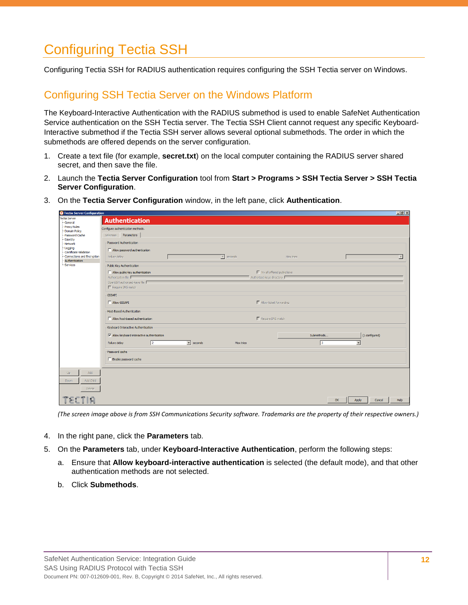### <span id="page-11-0"></span>Configuring Tectia SSH

Configuring Tectia SSH for RADIUS authentication requires configuring the SSH Tectia server on Windows.

#### <span id="page-11-1"></span>Configuring SSH Tectia Server on the Windows Platform

The Keyboard-Interactive Authentication with the RADIUS submethod is used to enable SafeNet Authentication Service authentication on the SSH Tectia server. The Tectia SSH Client cannot request any specific Keyboard-Interactive submethod if the Tectia SSH server allows several optional submethods. The order in which the submethods are offered depends on the server configuration.

- 1. Create a text file (for example, **secret.txt**) on the local computer containing the RADIUS server shared secret, and then save the file.
- 2. Launch the **Tectia Server Configuration** tool from **Start > Programs > SSH Tectia Server > SSH Tectia Server Configuration**.
- 3. On the **Tectia Server Configuration** window, in the left pane, click **Authentication**.

| <b>Q</b> Tectia Server Configuration                                                              |                                                                                                                                                                                                                                                                                                | H                        |
|---------------------------------------------------------------------------------------------------|------------------------------------------------------------------------------------------------------------------------------------------------------------------------------------------------------------------------------------------------------------------------------------------------|--------------------------|
| Tectia Server<br>-General                                                                         | <b>Authentication</b>                                                                                                                                                                                                                                                                          |                          |
| Proxy Rules<br>Domain Policy<br>-Password Cache<br>Identity                                       | Configure authentication methods.<br>Selectors Parameters                                                                                                                                                                                                                                      |                          |
| -Network<br>-Logging<br>-Certificate Validation<br>-Connections and Encryption<br>-Authentication | -Password Authentication<br>Allow password authentication<br>$\overline{\phantom{a}}$<br>seconds<br>Failure delay<br>Max tries                                                                                                                                                                 | $\overline{\phantom{a}}$ |
| i <sub></sub> Services                                                                            | Public-Key Authentication<br>$\Box$ Allow public-key authentication<br>$\Box$ Try all offered public keys<br>Authorization file<br>Authorized-keys directory<br>OpenSSH authorized-keys file<br>F Require DNS match                                                                            |                          |
|                                                                                                   | -GSSAPI-<br>Allow GSSAPI<br>$\Box$ Allow ticket forwarding                                                                                                                                                                                                                                     |                          |
|                                                                                                   | <b>Host-Based Authentication</b><br>F Require DNS match<br>Allow host-based authentication                                                                                                                                                                                                     |                          |
|                                                                                                   | -Keyboard-Interactive Authentication<br>$\overline{\mathsf{w}}$ Allow keyboard-interactive authentication<br>(1 configured)<br>Submethods<br>$\sqrt{2}$<br>$\mathbf{v}$ seconds<br>Failure delay<br>13.<br>Max tries<br>$\overline{\phantom{a}}$<br>-Password cache<br>F Enable password cache |                          |
| Up.<br>Add                                                                                        |                                                                                                                                                                                                                                                                                                |                          |
| Add Child<br>Down<br>Delete                                                                       |                                                                                                                                                                                                                                                                                                |                          |
| E<br>m                                                                                            | OK<br>Apply<br>Cancel                                                                                                                                                                                                                                                                          | Help                     |

*(The screen image above is from SSH Communications Security software. Trademarks are the property of their respective owners.)*

- 4. In the right pane, click the **Parameters** tab.
- 5. On the **Parameters** tab, under **Keyboard-Interactive Authentication**, perform the following steps:
	- a. Ensure that **Allow keyboard-interactive authentication** is selected (the default mode), and that other authentication methods are not selected.
	- b. Click **Submethods**.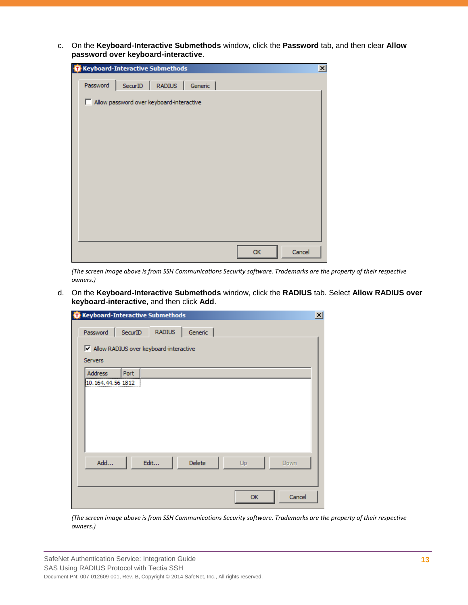c. On the **Keyboard-Interactive Submethods** window, click the **Password** tab, and then clear **Allow password over keyboard-interactive**.

| <b>O</b> Keyboard-Interactive Submethods | $\mathbf{x}$ |
|------------------------------------------|--------------|
| SecurID   RADIUS   Generic  <br>Password |              |
| Allow password over keyboard-interactive |              |
|                                          |              |
|                                          |              |
|                                          |              |
|                                          |              |
|                                          |              |
|                                          |              |
|                                          |              |
|                                          |              |
|                                          | Cancel<br>OK |

*(The screen image above is from SSH Communications Security software. Trademarks are the property of their respective owners.)*

d. On the **Keyboard-Interactive Submethods** window, click the **RADIUS** tab. Select **Allow RADIUS over keyboard-interactive**, and then click **Add**.

| <b>RADIUS</b><br>SecurID<br>Generic<br>M Allow RADIUS over keyboard-interactive<br><b>Address</b><br>Port<br>10.164.44.56 1812<br>Edit<br>Delete<br>Add<br>Up<br>Down<br>Cancel<br>OK |          | <b>O</b> Keyboard-Interactive Submethods |  |  |  |
|---------------------------------------------------------------------------------------------------------------------------------------------------------------------------------------|----------|------------------------------------------|--|--|--|
|                                                                                                                                                                                       | Password |                                          |  |  |  |
|                                                                                                                                                                                       |          |                                          |  |  |  |
|                                                                                                                                                                                       | Servers  |                                          |  |  |  |
|                                                                                                                                                                                       |          |                                          |  |  |  |
|                                                                                                                                                                                       |          |                                          |  |  |  |
|                                                                                                                                                                                       |          |                                          |  |  |  |
|                                                                                                                                                                                       |          |                                          |  |  |  |
|                                                                                                                                                                                       |          |                                          |  |  |  |
|                                                                                                                                                                                       |          |                                          |  |  |  |
|                                                                                                                                                                                       |          |                                          |  |  |  |
|                                                                                                                                                                                       |          |                                          |  |  |  |
|                                                                                                                                                                                       |          |                                          |  |  |  |
|                                                                                                                                                                                       |          |                                          |  |  |  |
|                                                                                                                                                                                       |          |                                          |  |  |  |

*(The screen image above is from SSH Communications Security software. Trademarks are the property of their respective owners.)*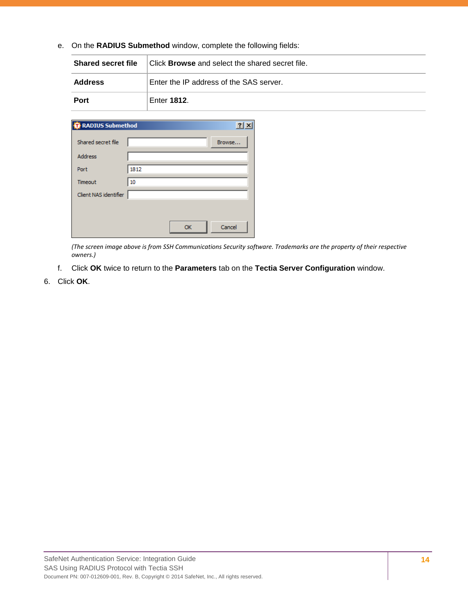e. On the **RADIUS Submethod** window, complete the following fields:

| <b>Shared secret file</b> | Click <b>Browse</b> and select the shared secret file. |  |  |
|---------------------------|--------------------------------------------------------|--|--|
| Address                   | Enter the IP address of the SAS server.                |  |  |
| Port                      | Enter 1812.                                            |  |  |

| <b>RADIUS Submethod</b> |      |    | $\cdot$ |
|-------------------------|------|----|---------|
| Shared secret file      |      |    | Browse  |
| <b>Address</b>          |      |    |         |
| Port                    | 1812 |    |         |
| Timeout                 | 10   |    |         |
| Client NAS identifier   |      |    |         |
|                         |      |    |         |
|                         |      | OK | Cancel  |

*(The screen image above is from SSH Communications Security software. Trademarks are the property of their respective owners.)*

- f. Click **OK** twice to return to the **Parameters** tab on the **Tectia Server Configuration** window.
- 6. Click **OK**.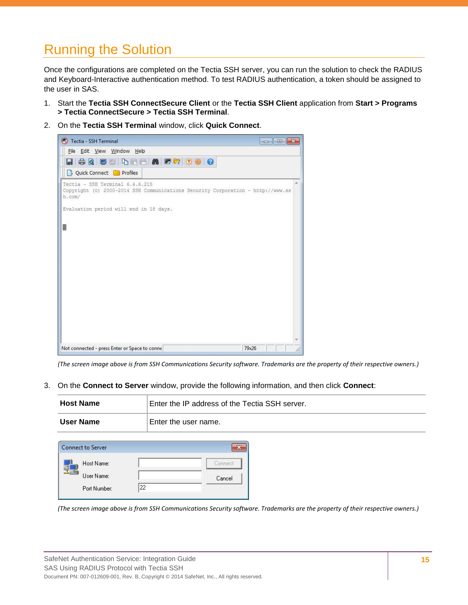# <span id="page-14-0"></span>Running the Solution

Once the configurations are completed on the Tectia SSH server, you can run the solution to check the RADIUS and Keyboard-Interactive authentication method. To test RADIUS authentication, a token should be assigned to the user in SAS.

- 1. Start the **Tectia SSH ConnectSecure Client** or the **Tectia SSH Client** application from **Start > Programs > Tectia ConnectSecure > Tectia SSH Terminal**.
- 2. On the **Tectia SSH Terminal** window, click **Quick Connect**.



*(The screen image above is from SSH Communications Security software. Trademarks are the property of their respective owners.)*

3. On the **Connect to Server** window, provide the following information, and then click **Connect**:

| <b>Host Name</b> | Enter the IP address of the Tectia SSH server. |  |
|------------------|------------------------------------------------|--|
| User Name        | Enter the user name.                           |  |

| <b>Connect to Server</b> |    |         |
|--------------------------|----|---------|
| Host Name:               |    | Connect |
| User Name:               |    | Cancel  |
| Port Number:             | 22 |         |

*(The screen image above is from SSH Communications Security software. Trademarks are the property of their respective owners.)*